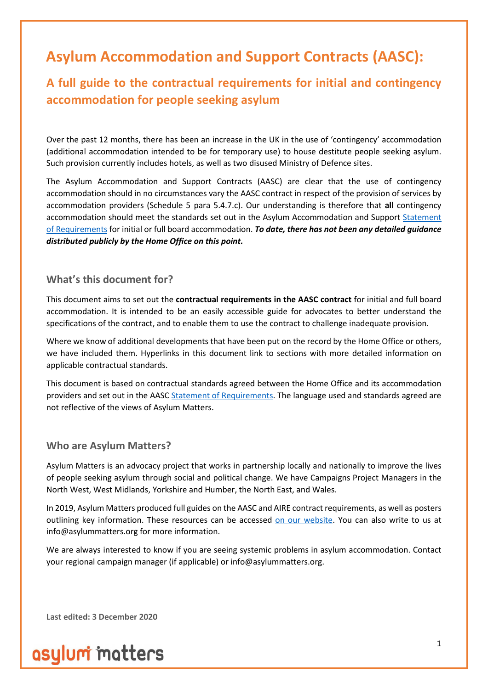## **Asylum Accommodation and Support Contracts (AASC):**

### **A full guide to the contractual requirements for initial and contingency accommodation for people seeking asylum**

Over the past 12 months, there has been an increase in the UK in the use of 'contingency' accommodation (additional accommodation intended to be for temporary use) to house destitute people seeking asylum. Such provision currently includes hotels, as well as two disused Ministry of Defence sites.

The Asylum Accommodation and Support Contracts (AASC) are clear that the use of contingency accommodation should in no circumstances vary the AASC contract in respect of the provision of services by accommodation providers (Schedule 5 para 5.4.7.c). Our understanding is therefore that **all** contingency accommodation should meet the standards set out in the Asylum Accommodation and Support Statement [of Requirements](http://data.parliament.uk/DepositedPapers/Files/DEP2018-1112/AASC_-_Schedule_2_-_Statement_of_Requirements.pdf) for initial or full board accommodation. *To date, there has not been any detailed guidance distributed publicly by the Home Office on this point.*

### **What's this document for?**

This document aims to set out the **contractual requirements in the AASC contract** for initial and full board accommodation. It is intended to be an easily accessible guide for advocates to better understand the specifications of the contract, and to enable them to use the contract to challenge inadequate provision.

Where we know of additional developments that have been put on the record by the Home Office or others, we have included them. Hyperlinks in this document link to sections with more detailed information on applicable contractual standards.

This document is based on contractual standards agreed between the Home Office and its accommodation providers and set out in the AASC [Statement of Requirements.](http://data.parliament.uk/DepositedPapers/Files/DEP2018-1112/AASC_-_Schedule_2_-_Statement_of_Requirements.pdf) The language used and standards agreed are not reflective of the views of Asylum Matters.

### **Who are Asylum Matters?**

Asylum Matters is an advocacy project that works in partnership locally and nationally to improve the lives of people seeking asylum through social and political change. We have Campaigns Project Managers in the North West, West Midlands, Yorkshire and Humber, the North East, and Wales.

In 2019, Asylum Matters produced full guides on the AASC and AIRE contract requirements, as well as posters outlining key information. These resources can be accessed [on our website.](https://asylummatters.org/2019/11/19/launch-of-new-aasc-and-aire-resources/) You can also write to us at info@asylummatters.org for more information.

We are always interested to know if you are seeing systemic problems in asylum accommodation. Contact your regional campaign manager (if applicable) or info@asylummatters.org.

**Last edited: 3 December 2020**

# asylum matters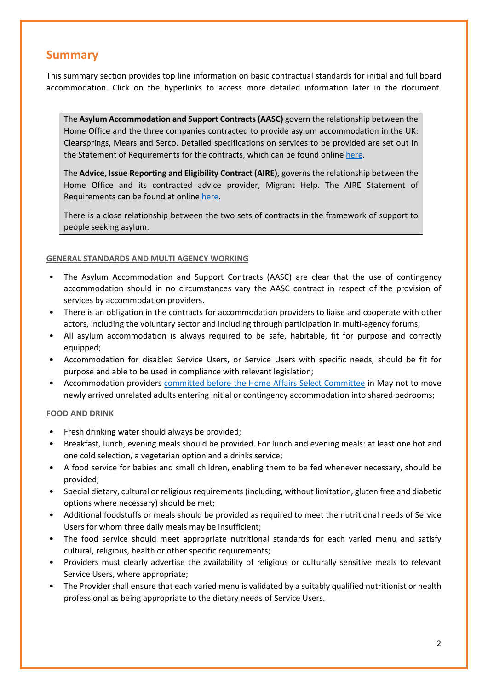### **Summary**

This summary section provides top line information on basic contractual standards for initial and full board accommodation. Click on the hyperlinks to access more detailed information later in the document.

The **Asylum Accommodation and Support Contracts (AASC)** govern the relationship between the Home Office and the three companies contracted to provide asylum accommodation in the UK: Clearsprings, Mears and Serco. Detailed specifications on services to be provided are set out in the Statement of Requirements for the contracts, which can be found online [here.](http://data.parliament.uk/DepositedPapers/Files/DEP2018-1112/AASC_-_Schedule_2_-_Statement_of_Requirements.pdf.)

The **Advice, Issue Reporting and Eligibility Contract (AIRE),** governs the relationship between the Home Office and its contracted advice provider, Migrant Help. The AIRE Statement of Requirements can be found at online [here.](http://data.parliament.uk/DepositedPapers/Files/DEP2018-1112/AIRE_Contract-Schedule_2-SoR_-_HOC_Published.pdf)

There is a close relationship between the two sets of contracts in the framework of support to people seeking asylum.

### **[GENERAL STANDARDS AND MULTI AGENCY WORKING](#page-4-0)**

- The Asylum Accommodation and Support Contracts (AASC) are clear that the use of contingency accommodation should in no circumstances vary the AASC contract in respect of the provision of services by accommodation providers.
- There is an obligation in the contracts for accommodation providers to liaise and cooperate with other actors, including the voluntary sector and including through participation in multi-agency forums;
- All asylum accommodation is always required to be safe, habitable, fit for purpose and correctly equipped;
- Accommodation for disabled Service Users, or Service Users with specific needs, should be fit for purpose and able to be used in compliance with relevant legislation;
- Accommodation providers [committed before the Home Affairs Select Committee](https://committees.parliament.uk/oralevidence/356/default/) in May not to move newly arrived unrelated adults entering initial or contingency accommodation into shared bedrooms;

### **[FOOD AND DRINK](#page-6-0)**

- Fresh drinking water should always be provided;
- Breakfast, lunch, evening meals should be provided. For lunch and evening meals: at least one hot and one cold selection, a vegetarian option and a drinks service;
- A food service for babies and small children, enabling them to be fed whenever necessary, should be provided;
- Special dietary, cultural or religious requirements (including, without limitation, gluten free and diabetic options where necessary) should be met;
- Additional foodstuffs or meals should be provided as required to meet the nutritional needs of Service Users for whom three daily meals may be insufficient;
- The food service should meet appropriate nutritional standards for each varied menu and satisfy cultural, religious, health or other specific requirements;
- Providers must clearly advertise the availability of religious or culturally sensitive meals to relevant Service Users, where appropriate;
- The Provider shall ensure that each varied menu is validated by a suitably qualified nutritionist or health professional as being appropriate to the dietary needs of Service Users.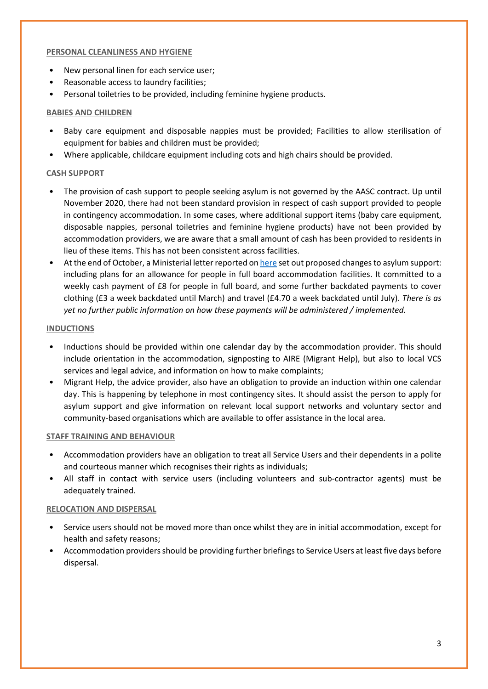### **[PERSONAL CLEANLINESS AND HYGIENE](#page-6-1)**

- New personal linen for each service user;
- Reasonable access to laundry facilities;
- Personal toiletries to be provided, including feminine hygiene products.

### **[BABIES AND CHILDREN](#page-7-0)**

- Baby care equipment and disposable nappies must be provided; Facilities to allow sterilisation of equipment for babies and children must be provided;
- Where applicable, childcare equipment including cots and high chairs should be provided.

### **CASH SUPPORT**

- The provision of cash support to people seeking asylum is not governed by the AASC contract. Up until November 2020, there had not been standard provision in respect of cash support provided to people in contingency accommodation. In some cases, where additional support items (baby care equipment, disposable nappies, personal toiletries and feminine hygiene products) have not been provided by accommodation providers, we are aware that a small amount of cash has been provided to residents in lieu of these items. This has not been consistent across facilities.
- At the end of October, a Ministerial letter reported o[n here](https://www.independent.co.uk/news/uk/home-news/asylum-seekers-hotels-cash-support-home-office-coronavirus-pandemic-b1446025.html) set out proposed changes to asylum support: including plans for an allowance for people in full board accommodation facilities. It committed to a weekly cash payment of £8 for people in full board, and some further backdated payments to cover clothing (£3 a week backdated until March) and travel (£4.70 a week backdated until July). *There is as yet no further public information on how these payments will be administered / implemented.*

### **[INDUCTIONS](#page-8-0)**

- Inductions should be provided within one calendar day by the accommodation provider. This should include orientation in the accommodation, signposting to AIRE (Migrant Help), but also to local VCS services and legal advice, and information on how to make complaints;
- Migrant Help, the advice provider, also have an obligation to provide an induction within one calendar day. This is happening by telephone in most contingency sites. It should assist the person to apply for asylum support and give information on relevant local support networks and voluntary sector and community-based organisations which are available to offer assistance in the local area.

### **[STAFF TRAINING AND BEHAVIOUR](#page-9-0)**

- Accommodation providers have an obligation to treat all Service Users and their dependents in a polite and courteous manner which recognises their rights as individuals;
- All staff in contact with service users (including volunteers and sub-contractor agents) must be adequately trained.

### **[RELOCATION AND DISPERSAL](#page-9-1)**

- Service users should not be moved more than once whilst they are in initial accommodation, except for health and safety reasons;
- Accommodation providers should be providing further briefings to Service Users at least five days before dispersal.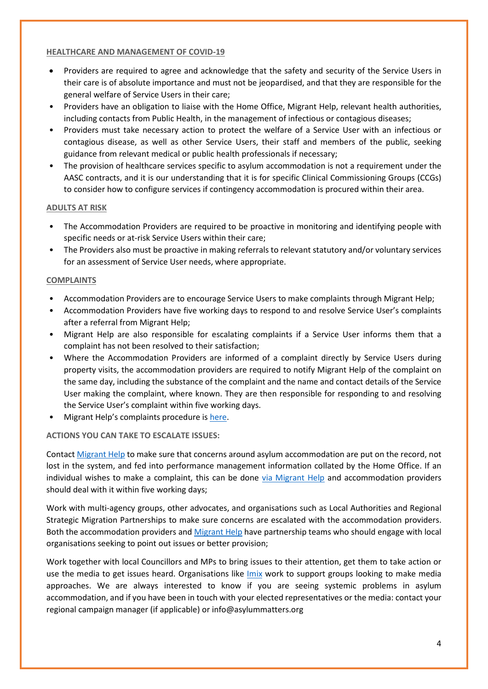### **[HEALTHCARE AND MANAGEMENT OF COVID-19](#page-10-0)**

- Providers are required to agree and acknowledge that the safety and security of the Service Users in their care is of absolute importance and must not be jeopardised, and that they are responsible for the general welfare of Service Users in their care;
- Providers have an obligation to liaise with the Home Office, Migrant Help, relevant health authorities, including contacts from Public Health, in the management of infectious or contagious diseases;
- Providers must take necessary action to protect the welfare of a Service User with an infectious or contagious disease, as well as other Service Users, their staff and members of the public, seeking guidance from relevant medical or public health professionals if necessary;
- The provision of healthcare services specific to asylum accommodation is not a requirement under the AASC contracts, and it is our understanding that it is for specific Clinical Commissioning Groups (CCGs) to consider how to configure services if contingency accommodation is procured within their area.

### **[ADULTS AT RISK](#page-12-0)**

- The Accommodation Providers are required to be proactive in monitoring and identifying people with specific needs or at-risk Service Users within their care;
- The Providers also must be proactive in making referrals to relevant statutory and/or voluntary services for an assessment of Service User needs, where appropriate.

### **[COMPLAINTS](#page-13-0)**

- Accommodation Providers are to encourage Service Users to make complaints through Migrant Help;
- Accommodation Providers have five working days to respond to and resolve Service User's complaints after a referral from Migrant Help;
- Migrant Help are also responsible for escalating complaints if a Service User informs them that a complaint has not been resolved to their satisfaction;
- Where the Accommodation Providers are informed of a complaint directly by Service Users during property visits, the accommodation providers are required to notify Migrant Help of the complaint on the same day, including the substance of the complaint and the name and contact details of the Service User making the complaint, where known. They are then responsible for responding to and resolving the Service User's complaint within five working days.
- Migrant Help's complaints procedure is [here.](https://www.migranthelpuk.org/Handlers/Download.ashx?IDMF=4c040ab8-5954-4166-bc67-584f92437c15)

### **ACTIONS YOU CAN TAKE TO ESCALATE ISSUES:**

Contact [Migrant Help](https://www.migranthelpuk.org/) to make sure that concerns around asylum accommodation are put on the record, not lost in the system, and fed into performance management information collated by the Home Office. If an individual wishes to make a complaint, this can be done [via Migrant Help](https://www.migranthelpuk.org/Handlers/Download.ashx?IDMF=4c040ab8-5954-4166-bc67-584f92437c15) and accommodation providers should deal with it within five working days;

Work with multi-agency groups, other advocates, and organisations such as Local Authorities and Regional Strategic Migration Partnerships to make sure concerns are escalated with the accommodation providers. Both the accommodation providers and [Migrant Help](https://www.migranthelpuk.org/partnerships) have partnership teams who should engage with local organisations seeking to point out issues or better provision;

Work together with local Councillors and MPs to bring issues to their attention, get them to take action or use the media to get issues heard. Organisations like [Imix](https://imix.org.uk/contact-us/) work to support groups looking to make media approaches. We are always interested to know if you are seeing systemic problems in asylum accommodation, and if you have been in touch with your elected representatives or the media: contact your regional campaign manager (if applicable) or info@asylummatters.org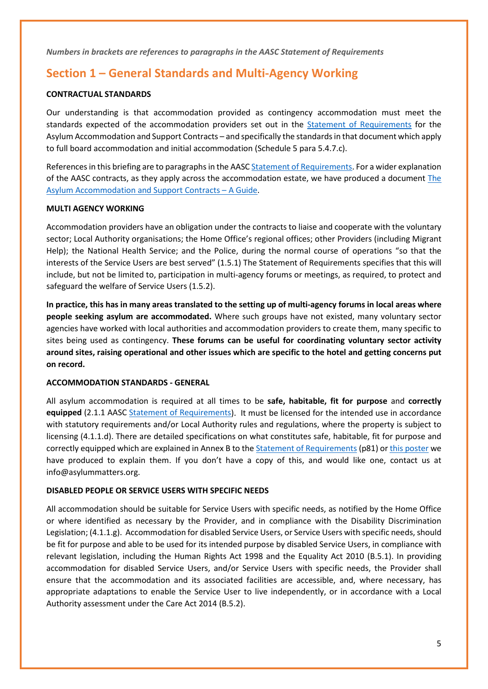*Numbers in brackets are references to paragraphs in the AASC Statement of Requirements*

### <span id="page-4-0"></span>**Section 1 – General Standards and Multi-Agency Working**

### **CONTRACTUAL STANDARDS**

Our understanding is that accommodation provided as contingency accommodation must meet the standards expected of the accommodation providers set out in the [Statement of Requirements](http://data.parliament.uk/DepositedPapers/Files/DEP2018-1112/AASC_-_Schedule_2_-_Statement_of_Requirements.pdf) for the Asylum Accommodation and Support Contracts – and specifically the standards in that document which apply to full board accommodation and initial accommodation (Schedule 5 para 5.4.7.c).

References in this briefing are to paragraphs in the AASC [Statement of Requirements.](http://data.parliament.uk/DepositedPapers/Files/DEP2018-1112/AASC_-_Schedule_2_-_Statement_of_Requirements.pdf) For a wider explanation of the AASC contracts, as they apply across the accommodation estate, we have produced a document The [Asylum Accommodation and Support Contracts –](https://asylummatters.org/wp-content/uploads/sites/117/2019/11/The-Asylum-Accommodation-and-Support-Contracts-A-Guide.pdf) A Guide.

### **MULTI AGENCY WORKING**

Accommodation providers have an obligation under the contracts to liaise and cooperate with the voluntary sector; Local Authority organisations; the Home Office's regional offices; other Providers (including Migrant Help); the National Health Service; and the Police, during the normal course of operations "so that the interests of the Service Users are best served" (1.5.1) The Statement of Requirements specifies that this will include, but not be limited to, participation in multi-agency forums or meetings, as required, to protect and safeguard the welfare of Service Users (1.5.2).

**In practice, this has in many areas translated to the setting up of multi-agency forums in local areas where people seeking asylum are accommodated.** Where such groups have not existed, many voluntary sector agencies have worked with local authorities and accommodation providers to create them, many specific to sites being used as contingency. **These forums can be useful for coordinating voluntary sector activity around sites, raising operational and other issues which are specific to the hotel and getting concerns put on record.**

### **ACCOMMODATION STANDARDS - GENERAL**

All asylum accommodation is required at all times to be **safe, habitable, fit for purpose** and **correctly equipped** (2.1.1 AASC [Statement of Requirements\)](http://data.parliament.uk/DepositedPapers/Files/DEP2018-1112/AASC_-_Schedule_2_-_Statement_of_Requirements.pdf). It must be licensed for the intended use in accordance with statutory requirements and/or Local Authority rules and regulations, where the property is subject to licensing (4.1.1.d). There are detailed specifications on what constitutes safe, habitable, fit for purpose and correctly equipped which are explained in Annex B to the **Statement of Requirements** (p81) o[r this poster](https://asylummatters.org/wp-content/uploads/sites/117/2019/11/PRINT-Accommodation-Standards-FINAL-A1-1.pdf) we have produced to explain them. If you don't have a copy of this, and would like one, contact us at info@asylummatters.org.

### **DISABLED PEOPLE OR SERVICE USERS WITH SPECIFIC NEEDS**

All accommodation should be suitable for Service Users with specific needs, as notified by the Home Office or where identified as necessary by the Provider, and in compliance with the Disability Discrimination Legislation; (4.1.1.g). Accommodation for disabled Service Users, or Service Users with specific needs, should be fit for purpose and able to be used for its intended purpose by disabled Service Users, in compliance with relevant legislation, including the Human Rights Act 1998 and the Equality Act 2010 (B.5.1). In providing accommodation for disabled Service Users, and/or Service Users with specific needs, the Provider shall ensure that the accommodation and its associated facilities are accessible, and, where necessary, has appropriate adaptations to enable the Service User to live independently, or in accordance with a Local Authority assessment under the Care Act 2014 (B.5.2).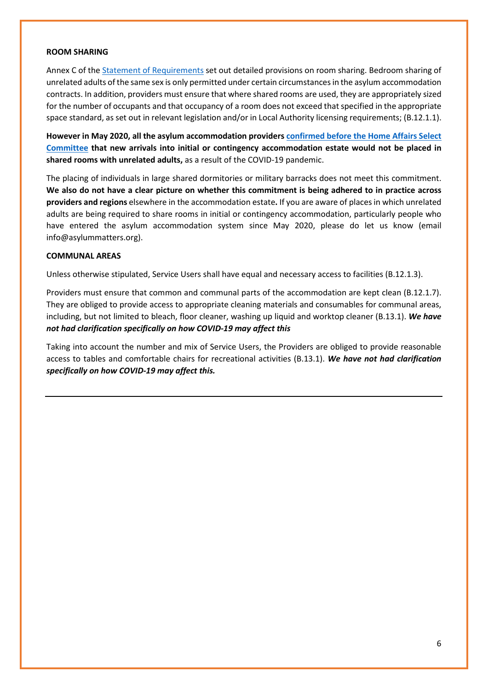#### **ROOM SHARING**

Annex C of th[e Statement of Requirements](http://data.parliament.uk/DepositedPapers/Files/DEP2018-1112/AASC_-_Schedule_2_-_Statement_of_Requirements.pdf) set out detailed provisions on room sharing. Bedroom sharing of unrelated adults of the same sex is only permitted under certain circumstances in the asylum accommodation contracts. In addition, providers must ensure that where shared rooms are used, they are appropriately sized for the number of occupants and that occupancy of a room does not exceed that specified in the appropriate space standard, as set out in relevant legislation and/or in Local Authority licensing requirements; (B.12.1.1).

**However in May 2020, all the asylum accommodation provider[s confirmed before the Home Affairs Select](https://committees.parliament.uk/oralevidence/356/default/)  [Committee](https://committees.parliament.uk/oralevidence/356/default/) that new arrivals into initial or contingency accommodation estate would not be placed in shared rooms with unrelated adults,** as a result of the COVID-19 pandemic.

The placing of individuals in large shared dormitories or military barracks does not meet this commitment. **We also do not have a clear picture on whether this commitment is being adhered to in practice across providers and regions** elsewhere in the accommodation estate**.** If you are aware of places in which unrelated adults are being required to share rooms in initial or contingency accommodation, particularly people who have entered the asylum accommodation system since May 2020, please do let us know (email info@asylummatters.org).

#### **COMMUNAL AREAS**

Unless otherwise stipulated, Service Users shall have equal and necessary access to facilities (B.12.1.3).

Providers must ensure that common and communal parts of the accommodation are kept clean (B.12.1.7). They are obliged to provide access to appropriate cleaning materials and consumables for communal areas, including, but not limited to bleach, floor cleaner, washing up liquid and worktop cleaner (B.13.1). *We have not had clarification specifically on how COVID-19 may affect this*

Taking into account the number and mix of Service Users, the Providers are obliged to provide reasonable access to tables and comfortable chairs for recreational activities (B.13.1). *We have not had clarification specifically on how COVID-19 may affect this.*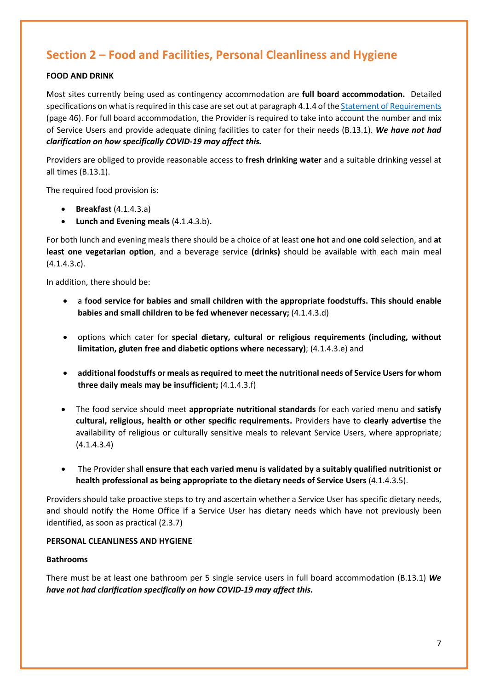### **Section 2 – Food and Facilities, Personal Cleanliness and Hygiene**

### <span id="page-6-0"></span>**FOOD AND DRINK**

Most sites currently being used as contingency accommodation are **full board accommodation.** Detailed specifications on what is required in this case are set out at paragraph 4.1.4 of th[e Statement of Requirements](http://data.parliament.uk/DepositedPapers/Files/DEP2018-1112/AASC_-_Schedule_2_-_Statement_of_Requirements.pdf) (page 46). For full board accommodation, the Provider is required to take into account the number and mix of Service Users and provide adequate dining facilities to cater for their needs (B.13.1). *We have not had clarification on how specifically COVID-19 may affect this.*

Providers are obliged to provide reasonable access to **fresh drinking water** and a suitable drinking vessel at all times (B.13.1).

The required food provision is:

- **Breakfast** (4.1.4.3.a)
- **Lunch and Evening meals** (4.1.4.3.b)**.**

For both lunch and evening meals there should be a choice of at least **one hot** and **one cold** selection, and **at least one vegetarian option**, and a beverage service **(drinks)** should be available with each main meal (4.1.4.3.c).

In addition, there should be:

- a **food service for babies and small children with the appropriate foodstuffs. This should enable babies and small children to be fed whenever necessary;** (4.1.4.3.d)
- options which cater for **special dietary, cultural or religious requirements (including, without limitation, gluten free and diabetic options where necessary)**; (4.1.4.3.e) and
- **additional foodstuffs or meals as required to meet the nutritional needs of Service Users for whom three daily meals may be insufficient;** (4.1.4.3.f)
- The food service should meet **appropriate nutritional standards** for each varied menu and **satisfy cultural, religious, health or other specific requirements.** Providers have to **clearly advertise** the availability of religious or culturally sensitive meals to relevant Service Users, where appropriate; (4.1.4.3.4)
- The Provider shall **ensure that each varied menu is validated by a suitably qualified nutritionist or health professional as being appropriate to the dietary needs of Service Users** (4.1.4.3.5).

Providers should take proactive steps to try and ascertain whether a Service User has specific dietary needs, and should notify the Home Office if a Service User has dietary needs which have not previously been identified, as soon as practical (2.3.7)

### <span id="page-6-1"></span>**PERSONAL CLEANLINESS AND HYGIENE**

### **Bathrooms**

There must be at least one bathroom per 5 single service users in full board accommodation (B.13.1) *We have not had clarification specifically on how COVID-19 may affect this***.**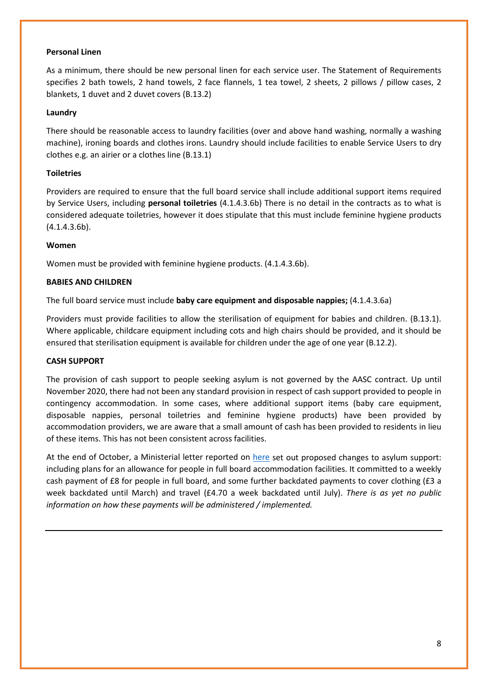#### **Personal Linen**

As a minimum, there should be new personal linen for each service user. The Statement of Requirements specifies 2 bath towels, 2 hand towels, 2 face flannels, 1 tea towel, 2 sheets, 2 pillows / pillow cases, 2 blankets, 1 duvet and 2 duvet covers (B.13.2)

### **Laundry**

There should be reasonable access to laundry facilities (over and above hand washing, normally a washing machine), ironing boards and clothes irons. Laundry should include facilities to enable Service Users to dry clothes e.g. an airier or a clothes line (B.13.1)

#### **Toiletries**

Providers are required to ensure that the full board service shall include additional support items required by Service Users, including **personal toiletries** (4.1.4.3.6b) There is no detail in the contracts as to what is considered adequate toiletries, however it does stipulate that this must include feminine hygiene products (4.1.4.3.6b).

#### **Women**

Women must be provided with feminine hygiene products. (4.1.4.3.6b).

### <span id="page-7-0"></span>**BABIES AND CHILDREN**

The full board service must include **baby care equipment and disposable nappies;** (4.1.4.3.6a)

Providers must provide facilities to allow the sterilisation of equipment for babies and children. (B.13.1). Where applicable, childcare equipment including cots and high chairs should be provided, and it should be ensured that sterilisation equipment is available for children under the age of one year (B.12.2).

### **CASH SUPPORT**

The provision of cash support to people seeking asylum is not governed by the AASC contract. Up until November 2020, there had not been any standard provision in respect of cash support provided to people in contingency accommodation. In some cases, where additional support items (baby care equipment, disposable nappies, personal toiletries and feminine hygiene products) have been provided by accommodation providers, we are aware that a small amount of cash has been provided to residents in lieu of these items. This has not been consistent across facilities.

At the end of October, a Ministerial letter reported on [here](https://www.independent.co.uk/news/uk/home-news/asylum-seekers-hotels-cash-support-home-office-coronavirus-pandemic-b1446025.html) set out proposed changes to asylum support: including plans for an allowance for people in full board accommodation facilities. It committed to a weekly cash payment of £8 for people in full board, and some further backdated payments to cover clothing (£3 a week backdated until March) and travel (£4.70 a week backdated until July). *There is as yet no public information on how these payments will be administered / implemented.*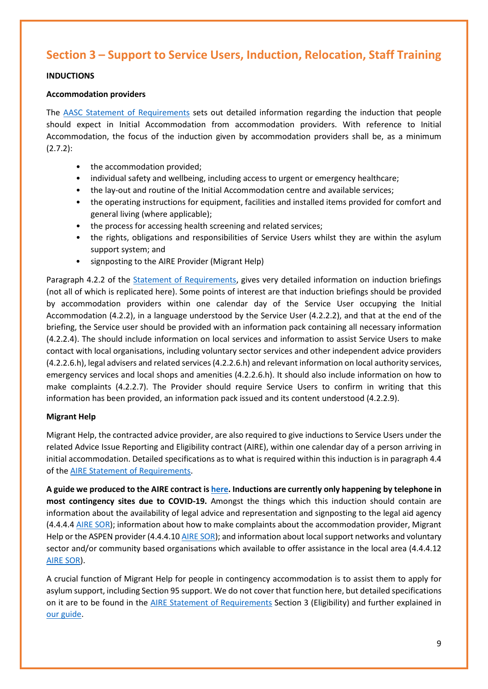### **Section 3 – Support to Service Users, Induction, Relocation, Staff Training**

### <span id="page-8-0"></span>**INDUCTIONS**

### **Accommodation providers**

The [AASC Statement of Requirements](http://data.parliament.uk/DepositedPapers/Files/DEP2018-1112/AASC_-_Schedule_2_-_Statement_of_Requirements.pdf) sets out detailed information regarding the induction that people should expect in Initial Accommodation from accommodation providers. With reference to Initial Accommodation, the focus of the induction given by accommodation providers shall be, as a minimum (2.7.2):

- the accommodation provided;
- individual safety and wellbeing, including access to urgent or emergency healthcare;
- the lay-out and routine of the Initial Accommodation centre and available services;
- the operating instructions for equipment, facilities and installed items provided for comfort and general living (where applicable);
- the process for accessing health screening and related services;
- the rights, obligations and responsibilities of Service Users whilst they are within the asylum support system; and
- signposting to the AIRE Provider (Migrant Help)

Paragraph 4.2.2 of the *Statement of Requirements*, gives very detailed information on induction briefings (not all of which is replicated here). Some points of interest are that induction briefings should be provided by accommodation providers within one calendar day of the Service User occupying the Initial Accommodation (4.2.2), in a language understood by the Service User (4.2.2.2), and that at the end of the briefing, the Service user should be provided with an information pack containing all necessary information (4.2.2.4). The should include information on local services and information to assist Service Users to make contact with local organisations, including voluntary sector services and other independent advice providers (4.2.2.6.h), legal advisers and related services (4.2.2.6.h) and relevant information on local authority services, emergency services and local shops and amenities (4.2.2.6.h). It should also include information on how to make complaints (4.2.2.7). The Provider should require Service Users to confirm in writing that this information has been provided, an information pack issued and its content understood (4.2.2.9).

### **Migrant Help**

Migrant Help, the contracted advice provider, are also required to give inductions to Service Users under the related Advice Issue Reporting and Eligibility contract (AIRE), within one calendar day of a person arriving in initial accommodation. Detailed specifications as to what is required within this induction is in paragraph 4.4 of the [AIRE Statement of Requirements.](http://data.parliament.uk/DepositedPapers/Files/DEP2018-1112/AIRE_Contract-Schedule_2-SoR_-_HOC_Published.pdf)

**A guide we produced to the AIRE contract i[s here.](https://asylummatters.org/wp-content/uploads/sites/117/2019/11/The-Advice-Issue-Reporting-and-Eligibility-Contract-A-Guide.pdf) Inductions are currently only happening by telephone in most contingency sites due to COVID-19.** Amongst the things which this induction should contain are information about the availability of legal advice and representation and signposting to the legal aid agency (4.4.4.4 [AIRE SOR\)](http://data.parliament.uk/DepositedPapers/Files/DEP2018-1112/AIRE_Contract-Schedule_2-SoR_-_HOC_Published.pdf); information about how to make complaints about the accommodation provider, Migrant Help or the ASPEN provider (4.4.4.10 [AIRE SOR\)](http://data.parliament.uk/DepositedPapers/Files/DEP2018-1112/AIRE_Contract-Schedule_2-SoR_-_HOC_Published.pdf); and information about local support networks and voluntary sector and/or community based organisations which available to offer assistance in the local area (4.4.4.12 [AIRE SOR\)](http://data.parliament.uk/DepositedPapers/Files/DEP2018-1112/AIRE_Contract-Schedule_2-SoR_-_HOC_Published.pdf).

A crucial function of Migrant Help for people in contingency accommodation is to assist them to apply for asylum support, including Section 95 support. We do not cover that function here, but detailed specifications on it are to be found in the [AIRE Statement of Requirements](http://data.parliament.uk/DepositedPapers/Files/DEP2018-1112/AIRE_Contract-Schedule_2-SoR_-_HOC_Published.pdf) Section 3 (Eligibility) and further explained in [our guide.](https://asylummatters.org/wp-content/uploads/sites/117/2019/11/The-Advice-Issue-Reporting-and-Eligibility-Contract-A-Guide.pdf)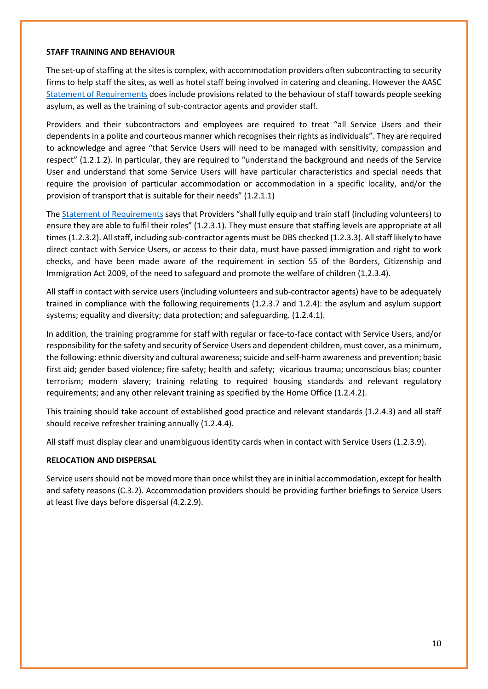#### <span id="page-9-0"></span>**STAFF TRAINING AND BEHAVIOUR**

The set-up of staffing at the sites is complex, with accommodation providers often subcontracting to security firms to help staff the sites, as well as hotel staff being involved in catering and cleaning. However the AASC [Statement of Requirements](http://data.parliament.uk/DepositedPapers/Files/DEP2018-1112/AASC_-_Schedule_2_-_Statement_of_Requirements.pdf) does include provisions related to the behaviour of staff towards people seeking asylum, as well as the training of sub-contractor agents and provider staff.

Providers and their subcontractors and employees are required to treat "all Service Users and their dependents in a polite and courteous manner which recognises their rights as individuals". They are required to acknowledge and agree "that Service Users will need to be managed with sensitivity, compassion and respect" (1.2.1.2). In particular, they are required to "understand the background and needs of the Service User and understand that some Service Users will have particular characteristics and special needs that require the provision of particular accommodation or accommodation in a specific locality, and/or the provision of transport that is suitable for their needs" (1.2.1.1)

Th[e Statement of Requirements](http://data.parliament.uk/DepositedPapers/Files/DEP2018-1112/AASC_-_Schedule_2_-_Statement_of_Requirements.pdf) says that Providers "shall fully equip and train staff (including volunteers) to ensure they are able to fulfil their roles" (1.2.3.1). They must ensure that staffing levels are appropriate at all times (1.2.3.2). All staff, including sub-contractor agents must be DBS checked (1.2.3.3). All staff likely to have direct contact with Service Users, or access to their data, must have passed immigration and right to work checks, and have been made aware of the requirement in section 55 of the Borders, Citizenship and Immigration Act 2009, of the need to safeguard and promote the welfare of children (1.2.3.4).

All staff in contact with service users (including volunteers and sub-contractor agents) have to be adequately trained in compliance with the following requirements (1.2.3.7 and 1.2.4): the asylum and asylum support systems; equality and diversity; data protection; and safeguarding. (1.2.4.1).

In addition, the training programme for staff with regular or face-to-face contact with Service Users, and/or responsibility for the safety and security of Service Users and dependent children, must cover, as a minimum, the following: ethnic diversity and cultural awareness; suicide and self-harm awareness and prevention; basic first aid; gender based violence; fire safety; health and safety; vicarious trauma; unconscious bias; counter terrorism; modern slavery; training relating to required housing standards and relevant regulatory requirements; and any other relevant training as specified by the Home Office (1.2.4.2).

This training should take account of established good practice and relevant standards (1.2.4.3) and all staff should receive refresher training annually (1.2.4.4).

All staff must display clear and unambiguous identity cards when in contact with Service Users (1.2.3.9).

### <span id="page-9-1"></span>**RELOCATION AND DISPERSAL**

Service users should not be moved more than once whilst they are in initial accommodation, except for health and safety reasons (C.3.2). Accommodation providers should be providing further briefings to Service Users at least five days before dispersal (4.2.2.9).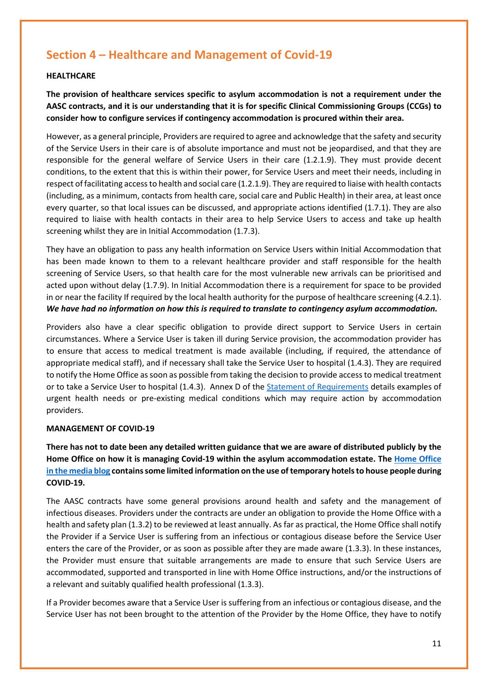### <span id="page-10-0"></span>**Section 4 – Healthcare and Management of Covid-19**

### **HEALTHCARE**

**The provision of healthcare services specific to asylum accommodation is not a requirement under the AASC contracts, and it is our understanding that it is for specific Clinical Commissioning Groups (CCGs) to consider how to configure services if contingency accommodation is procured within their area.**

However, as a general principle, Providers are required to agree and acknowledge that the safety and security of the Service Users in their care is of absolute importance and must not be jeopardised, and that they are responsible for the general welfare of Service Users in their care (1.2.1.9). They must provide decent conditions, to the extent that this is within their power, for Service Users and meet their needs, including in respect of facilitating access to health and social care (1.2.1.9). They are required to liaise with health contacts (including, as a minimum, contacts from health care, social care and Public Health) in their area, at least once every quarter, so that local issues can be discussed, and appropriate actions identified (1.7.1). They are also required to liaise with health contacts in their area to help Service Users to access and take up health screening whilst they are in Initial Accommodation (1.7.3).

They have an obligation to pass any health information on Service Users within Initial Accommodation that has been made known to them to a relevant healthcare provider and staff responsible for the health screening of Service Users, so that health care for the most vulnerable new arrivals can be prioritised and acted upon without delay (1.7.9). In Initial Accommodation there is a requirement for space to be provided in or near the facility If required by the local health authority for the purpose of healthcare screening (4.2.1). *We have had no information on how this is required to translate to contingency asylum accommodation.*

Providers also have a clear specific obligation to provide direct support to Service Users in certain circumstances. Where a Service User is taken ill during Service provision, the accommodation provider has to ensure that access to medical treatment is made available (including, if required, the attendance of appropriate medical staff), and if necessary shall take the Service User to hospital (1.4.3). They are required to notify the Home Office as soon as possible from taking the decision to provide access to medical treatment or to take a Service User to hospital (1.4.3). Annex D of the [Statement of Requirements](http://data.parliament.uk/DepositedPapers/Files/DEP2018-1112/AASC_-_Schedule_2_-_Statement_of_Requirements.pdf) details examples of urgent health needs or pre-existing medical conditions which may require action by accommodation providers.

#### **MANAGEMENT OF COVID-19**

**There has not to date been any detailed written guidance that we are aware of distributed publicly by the Home Office on how it is managing Covid-19 within the asylum accommodation estate. The [Home Office](https://homeofficemedia.blog.gov.uk/2020/08/08/the-use-of-temporary-hotels-to-house-asylum-seekers-during-covid-19/)  [in the media blog](https://homeofficemedia.blog.gov.uk/2020/08/08/the-use-of-temporary-hotels-to-house-asylum-seekers-during-covid-19/) contains some limited information on the use of temporary hotels to house people during COVID-19.** 

The AASC contracts have some general provisions around health and safety and the management of infectious diseases. Providers under the contracts are under an obligation to provide the Home Office with a health and safety plan (1.3.2) to be reviewed at least annually. As far as practical, the Home Office shall notify the Provider if a Service User is suffering from an infectious or contagious disease before the Service User enters the care of the Provider, or as soon as possible after they are made aware (1.3.3). In these instances, the Provider must ensure that suitable arrangements are made to ensure that such Service Users are accommodated, supported and transported in line with Home Office instructions, and/or the instructions of a relevant and suitably qualified health professional (1.3.3).

If a Provider becomes aware that a Service User is suffering from an infectious or contagious disease, and the Service User has not been brought to the attention of the Provider by the Home Office, they have to notify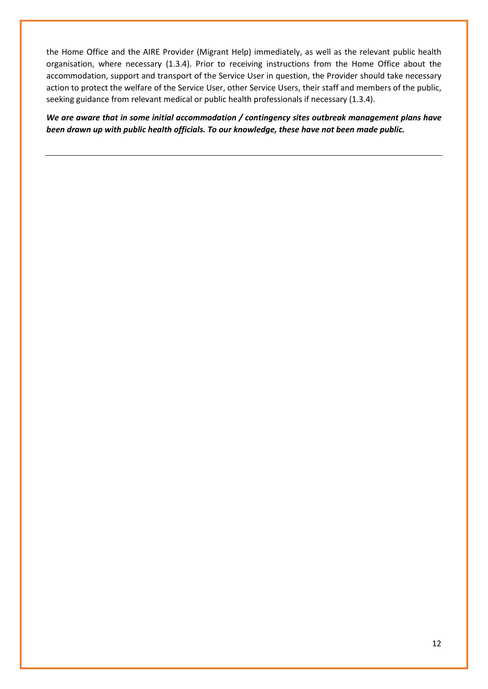the Home Office and the AIRE Provider (Migrant Help) immediately, as well as the relevant public health organisation, where necessary (1.3.4). Prior to receiving instructions from the Home Office about the accommodation, support and transport of the Service User in question, the Provider should take necessary action to protect the welfare of the Service User, other Service Users, their staff and members of the public, seeking guidance from relevant medical or public health professionals if necessary (1.3.4).

*We are aware that in some initial accommodation / contingency sites outbreak management plans have been drawn up with public health officials. To our knowledge, these have not been made public.*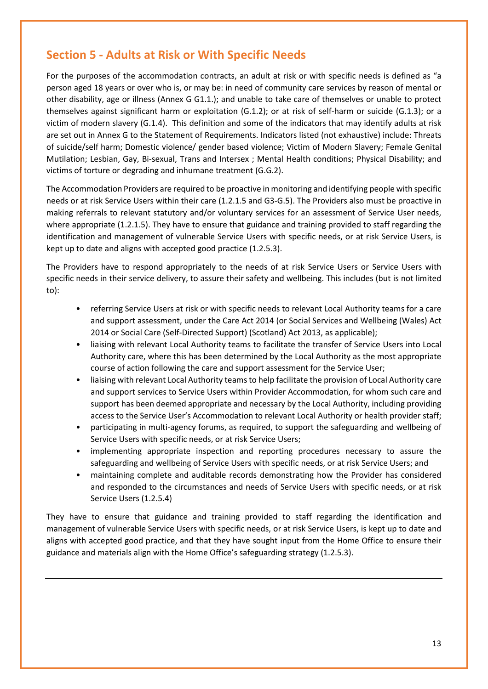### <span id="page-12-0"></span>**Section 5 - Adults at Risk or With Specific Needs**

For the purposes of the accommodation contracts, an adult at risk or with specific needs is defined as "a person aged 18 years or over who is, or may be: in need of community care services by reason of mental or other disability, age or illness (Annex G G1.1.); and unable to take care of themselves or unable to protect themselves against significant harm or exploitation (G.1.2); or at risk of self-harm or suicide (G.1.3); or a victim of modern slavery (G.1.4). This definition and some of the indicators that may identify adults at risk are set out in Annex G to the Statement of Requirements. Indicators listed (not exhaustive) include: Threats of suicide/self harm; Domestic violence/ gender based violence; Victim of Modern Slavery; Female Genital Mutilation; Lesbian, Gay, Bi-sexual, Trans and Intersex ; Mental Health conditions; Physical Disability; and victims of torture or degrading and inhumane treatment (G.G.2).

The Accommodation Providers are required to be proactive in monitoring and identifying people with specific needs or at risk Service Users within their care (1.2.1.5 and G3-G.5). The Providers also must be proactive in making referrals to relevant statutory and/or voluntary services for an assessment of Service User needs, where appropriate (1.2.1.5). They have to ensure that guidance and training provided to staff regarding the identification and management of vulnerable Service Users with specific needs, or at risk Service Users, is kept up to date and aligns with accepted good practice (1.2.5.3).

The Providers have to respond appropriately to the needs of at risk Service Users or Service Users with specific needs in their service delivery, to assure their safety and wellbeing. This includes (but is not limited to):

- referring Service Users at risk or with specific needs to relevant Local Authority teams for a care and support assessment, under the Care Act 2014 (or Social Services and Wellbeing (Wales) Act 2014 or Social Care (Self-Directed Support) (Scotland) Act 2013, as applicable);
- liaising with relevant Local Authority teams to facilitate the transfer of Service Users into Local Authority care, where this has been determined by the Local Authority as the most appropriate course of action following the care and support assessment for the Service User;
- liaising with relevant Local Authority teams to help facilitate the provision of Local Authority care and support services to Service Users within Provider Accommodation, for whom such care and support has been deemed appropriate and necessary by the Local Authority, including providing access to the Service User's Accommodation to relevant Local Authority or health provider staff;
- participating in multi-agency forums, as required, to support the safeguarding and wellbeing of Service Users with specific needs, or at risk Service Users;
- implementing appropriate inspection and reporting procedures necessary to assure the safeguarding and wellbeing of Service Users with specific needs, or at risk Service Users; and
- maintaining complete and auditable records demonstrating how the Provider has considered and responded to the circumstances and needs of Service Users with specific needs, or at risk Service Users (1.2.5.4)

They have to ensure that guidance and training provided to staff regarding the identification and management of vulnerable Service Users with specific needs, or at risk Service Users, is kept up to date and aligns with accepted good practice, and that they have sought input from the Home Office to ensure their guidance and materials align with the Home Office's safeguarding strategy (1.2.5.3).